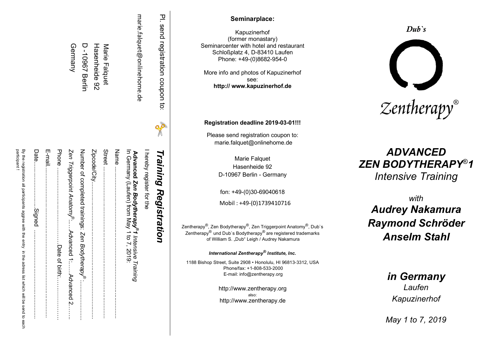| marie.falquet@onlinehome.de<br>D-10967<br>Hasenheide 92<br>Germany<br>Marie<br>Falquet<br><b>Berlin</b>                                                                                                                                                                                                                                                                                                                                                                                                                         | 프<br>send<br>registration<br>coupon<br>$\vec{c}$<br>$\frac{1}{2}$ | Seminarplace:<br>Kapuzinerhof<br>(former monastary)<br>Seminarcenter with hotel and restaurant<br>Schloßplatz 4, D-83410 Laufen<br>Phone: +49-(0)8682-954-0<br>More info and photos of Kapuzinerhof<br>see:<br>http:// www.kapuzinerhof.de<br>Registration deadline 2019-03-01!!!<br>Please send registration coupon to:<br>marie.falquet@onlinehome.de                                                                                                                                                                                                                                    | $_{\text{Dub}}$ 's<br>Zentherapy®                                                                                                                                                                                 |
|---------------------------------------------------------------------------------------------------------------------------------------------------------------------------------------------------------------------------------------------------------------------------------------------------------------------------------------------------------------------------------------------------------------------------------------------------------------------------------------------------------------------------------|-------------------------------------------------------------------|--------------------------------------------------------------------------------------------------------------------------------------------------------------------------------------------------------------------------------------------------------------------------------------------------------------------------------------------------------------------------------------------------------------------------------------------------------------------------------------------------------------------------------------------------------------------------------------------|-------------------------------------------------------------------------------------------------------------------------------------------------------------------------------------------------------------------|
| By the registration<br>Date<br>E-mail<br>Phone<br>Number of completed trainings:<br>Zipcode/City.<br>Street<br>Name<br>Zen Triggerpoint Anatomy <sup>®</sup> :.<br>Advanced Zen Bodytherapy <sup>®</sup> 1 Intensive T<br>In Germany (Laufen) from May 1 to 7, 2019:<br>hereby register for the<br>articipant<br>participants aggree with the<br>Signed<br>Advanced 1<br>Zen<br>Bodythera<br>Date of b<br>₿<br>Training<br>salress<br>i <u>er</u><br><b>LOC</b><br>Advanced.<br>list which will<br>θĞ<br>N<br>send<br>ಕ<br>each | Training<br>Registration                                          | Marie Falquet<br>Hasenheide 92<br>D-10967 Berlin - Germany<br>fon: +49-(0)30-69040618<br>Mobil: +49-(0)1739410716<br>Zentherapy <sup>®</sup> , Zen Bodytherapy <sup>®</sup> , Zen Triggerpoint Anatomy <sup>®</sup> , Dub`s<br>Zentherapy <sup>®</sup> und Dub's Bodytherapy® are registered trademarks<br>of William S. "Dub" Leigh / Audrey Nakamura<br>International Zentherapy® Institute, Inc.<br>1188 Bishop Street, Suite 2908 · Honolulu, HI 96813-3312, USA<br>Phone/fax: +1-808-533-2000<br>E-mail: info@zentherapy.org<br>http://www.zentherapy.org<br>http://www.zentherapy.de | <b>ADVANCED</b><br>ZEN BODYTHERAPY®1<br><b>Intensive Training</b><br>with<br><b>Audrey Nakamura</b><br><b>Raymond Schröder</b><br><b>Anselm Stahl</b><br>in Germany<br>Laufen<br>Kapuzinerhof<br>May 1 to 7, 2019 |